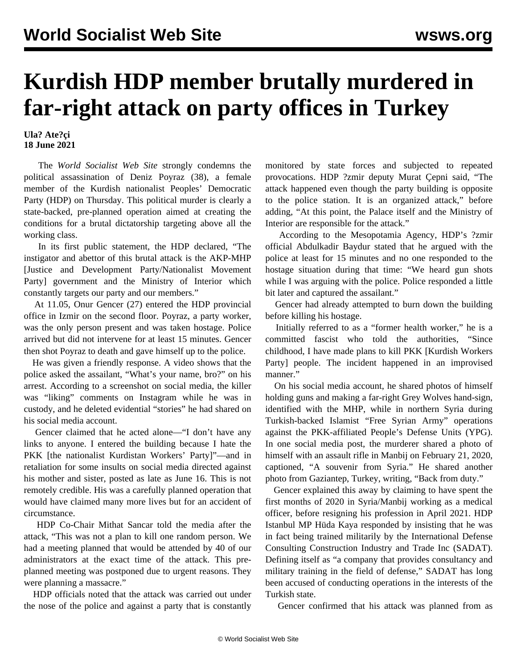## **Kurdish HDP member brutally murdered in far-right attack on party offices in Turkey**

## **Ula? Ate?çi 18 June 2021**

 The *World Socialist Web Site* strongly condemns the political assassination of Deniz Poyraz (38), a female member of the Kurdish nationalist Peoples' Democratic Party (HDP) on Thursday. This political murder is clearly a state-backed, pre-planned operation aimed at creating the conditions for a brutal dictatorship targeting above all the working class.

 In its first public statement, the HDP declared, "The instigator and abettor of this brutal attack is the AKP-MHP [Justice and Development Party/Nationalist Movement Party] government and the Ministry of Interior which constantly targets our party and our members."

 At 11.05, Onur Gencer (27) entered the HDP provincial office in Izmir on the second floor. Poyraz, a party worker, was the only person present and was taken hostage. Police arrived but did not intervene for at least 15 minutes. Gencer then shot Poyraz to death and gave himself up to the police.

 He was given a friendly response. A video shows that the police asked the assailant, "What's your name, bro?" on his arrest. According to a screenshot on social media, the killer was "liking" comments on Instagram while he was in custody, and he deleted evidential "stories" he had shared on his social media account.

 Gencer claimed that he acted alone—"I don't have any links to anyone. I entered the building because I hate the PKK [the nationalist Kurdistan Workers' Party]"—and in retaliation for some insults on social media directed against his mother and sister, posted as late as June 16. This is not remotely credible. His was a carefully planned operation that would have claimed many more lives but for an accident of circumstance.

 HDP Co-Chair Mithat Sancar told the media after the attack, "This was not a plan to kill one random person. We had a meeting planned that would be attended by 40 of our administrators at the exact time of the attack. This preplanned meeting was postponed due to urgent reasons. They were planning a massacre."

 HDP officials noted that the attack was carried out under the nose of the police and against a party that is constantly monitored by state forces and subjected to repeated provocations. HDP ?zmir deputy Murat Çepni said, "The attack happened even though the party building is opposite to the police station. It is an organized attack," before adding, "At this point, the Palace itself and the Ministry of Interior are responsible for the attack."

 According to the Mesopotamia Agency, HDP's ?zmir official Abdulkadir Baydur stated that he argued with the police at least for 15 minutes and no one responded to the hostage situation during that time: "We heard gun shots while I was arguing with the police. Police responded a little bit later and captured the assailant."

 Gencer had already attempted to burn down the building before killing his hostage.

 Initially referred to as a "former health worker," he is a committed fascist who told the authorities, "Since childhood, I have made plans to kill PKK [Kurdish Workers Party] people. The incident happened in an improvised manner."

 On his social media account, he shared photos of himself holding guns and making a far-right Grey Wolves hand-sign, identified with the MHP, while in northern Syria during Turkish-backed Islamist "Free Syrian Army" operations against the PKK-affiliated People's Defense Units (YPG). In one social media post, the murderer shared a photo of himself with an assault rifle in Manbij on February 21, 2020, captioned, "A souvenir from Syria." He shared another photo from Gaziantep, Turkey, writing, "Back from duty."

 Gencer explained this away by claiming to have spent the first months of 2020 in Syria/Manbij working as a medical officer, before resigning his profession in April 2021. HDP Istanbul MP Hüda Kaya responded by insisting that he was in fact being trained militarily by the International Defense Consulting Construction Industry and Trade Inc (SADAT). Defining itself as "a company that provides consultancy and military training in the field of defense," SADAT has long been accused of conducting operations in the interests of the Turkish state.

Gencer confirmed that his attack was planned from as